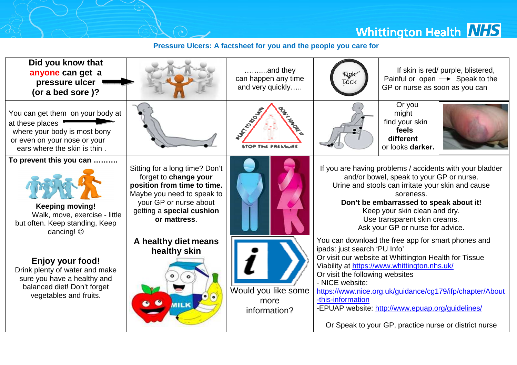**Whittington Health NHS** 

## **Pressure Ulcers: A factsheet for you and the people you care for**